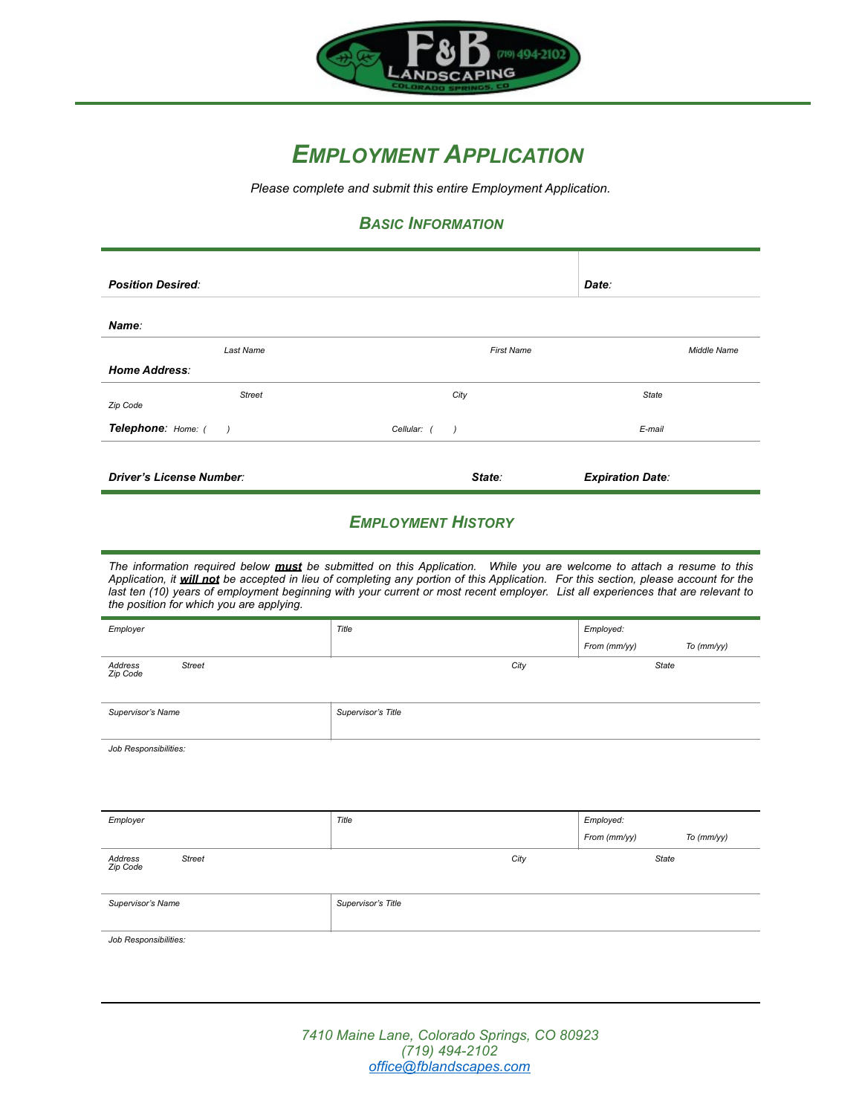

# *EMPLOYMENT APPLICATION*

*Please complete and submit this entire Employment Application.* 

### *BASIC INFORMATION*

| <b>Position Desired:</b>        |                   | Date:                   |
|---------------------------------|-------------------|-------------------------|
| Name:                           |                   |                         |
| Last Name                       | <b>First Name</b> | <b>Middle Name</b>      |
| <b>Home Address:</b>            |                   |                         |
| <b>Street</b><br>Zip Code       | City              | <b>State</b>            |
| Telephone: Home: ( )            | Cellular: ()      | E-mail                  |
|                                 |                   |                         |
| <b>Driver's License Number:</b> | State:            | <b>Expiration Date:</b> |

#### *EMPLOYMENT HISTORY*

*The information required below must be submitted on this Application. While you are welcome to attach a resume to this Application, it will not be accepted in lieu of completing any portion of this Application. For this section, please account for the last ten (10) years of employment beginning with your current or most recent employer. List all experiences that are relevant to the position for which you are applying.*

| Employer                                        | Title              | Employed:    |            |
|-------------------------------------------------|--------------------|--------------|------------|
|                                                 |                    | From (mm/yy) | To (mm/yy) |
| Address<br><b>Street</b><br>Zip Code            | City               | <b>State</b> |            |
| Supervisor's Name                               | Supervisor's Title |              |            |
| $I = I$ , $B = I$ , $A = I$ , $B = I$ , $B = I$ |                    |              |            |

*Job Responsibilities:*

| Employer                             | Title              | Employed:                  |
|--------------------------------------|--------------------|----------------------------|
|                                      |                    | From (mm/yy)<br>To (mm/yy) |
| Address<br><b>Street</b><br>Zip Code | City               | <b>State</b>               |
| Supervisor's Name                    | Supervisor's Title |                            |
| Job Responsibilities:                |                    |                            |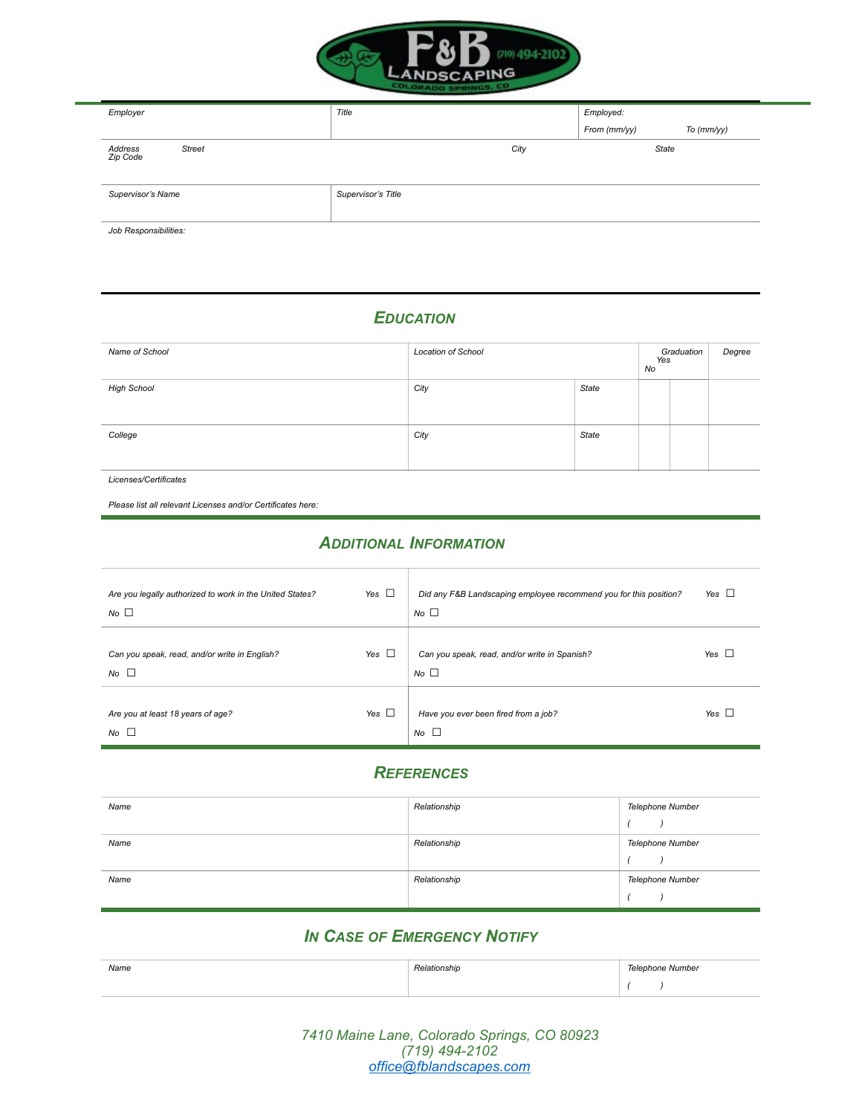

| Employer                             | Title              | Employed:    |            |
|--------------------------------------|--------------------|--------------|------------|
|                                      |                    | From (mm/yy) | To (mm/yy) |
| Address<br><b>Street</b><br>Zip Code | City               | State        |            |
| Supervisor's Name                    | Supervisor's Title |              |            |
| Job Responsibilities:                |                    |              |            |

## *EDUCATION*

| Name of School     | <b>Location of School</b> |              | Graduation<br>Yes<br>No |  | Degree |
|--------------------|---------------------------|--------------|-------------------------|--|--------|
| <b>High School</b> | City                      | State        |                         |  |        |
| College            | City                      | <b>State</b> |                         |  |        |

*Licenses/Certificates*

*Please list all relevant Licenses and/or Certificates here:* 

#### *ADDITIONAL INFORMATION*

| Are you legally authorized to work in the United States?<br>No <sub>1</sub> | Yes $\Box$ | Did any F&B Landscaping employee recommend you for this position?<br>$No$ $\square$ | Yes $\Box$ |
|-----------------------------------------------------------------------------|------------|-------------------------------------------------------------------------------------|------------|
| Can you speak, read, and/or write in English?<br>$No$ $\Box$                | Yes $\Box$ | Can you speak, read, and/or write in Spanish?<br>$No$ $\Box$                        | Yes $\Box$ |
| Are you at least 18 years of age?<br>$No$ $\Box$                            | Yes $\Box$ | Have you ever been fired from a job?<br>No <sub>2</sub>                             | Yes $\Box$ |

#### *REFERENCES*

| Name | Relationship | Telephone Number |
|------|--------------|------------------|
|      |              |                  |
| Name | Relationship | Telephone Number |
|      |              |                  |
| Name | Relationship | Telephone Number |
|      |              |                  |

### *IN CASE OF EMERGENCY NOTIFY*

| Name | elationship | Telephone Number |
|------|-------------|------------------|
|      |             |                  |